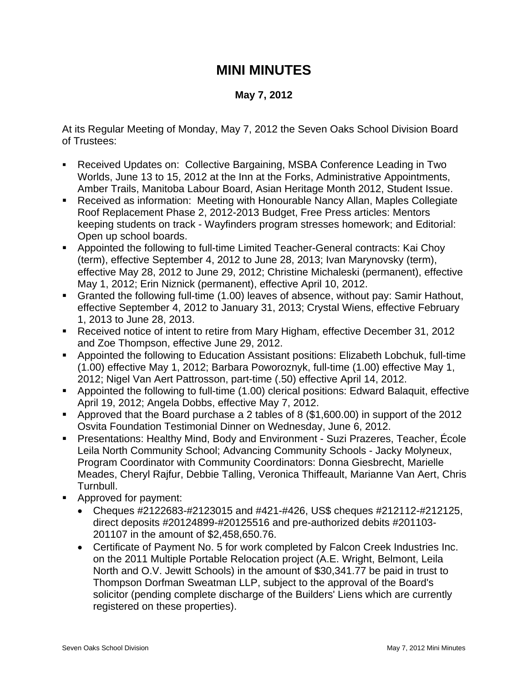## **MINI MINUTES**

## **May 7, 2012**

At its Regular Meeting of Monday, May 7, 2012 the Seven Oaks School Division Board of Trustees:

- Received Updates on: Collective Bargaining, MSBA Conference Leading in Two Worlds, June 13 to 15, 2012 at the Inn at the Forks, Administrative Appointments, Amber Trails, Manitoba Labour Board, Asian Heritage Month 2012, Student Issue.
- Received as information: Meeting with Honourable Nancy Allan, Maples Collegiate Roof Replacement Phase 2, 2012-2013 Budget, Free Press articles: Mentors keeping students on track - Wayfinders program stresses homework; and Editorial: Open up school boards.
- Appointed the following to full-time Limited Teacher-General contracts: Kai Choy (term), effective September 4, 2012 to June 28, 2013; Ivan Marynovsky (term), effective May 28, 2012 to June 29, 2012; Christine Michaleski (permanent), effective May 1, 2012; Erin Niznick (permanent), effective April 10, 2012.
- Granted the following full-time (1.00) leaves of absence, without pay: Samir Hathout, effective September 4, 2012 to January 31, 2013; Crystal Wiens, effective February 1, 2013 to June 28, 2013.
- Received notice of intent to retire from Mary Higham, effective December 31, 2012 and Zoe Thompson, effective June 29, 2012.
- Appointed the following to Education Assistant positions: Elizabeth Lobchuk, full-time (1.00) effective May 1, 2012; Barbara Poworoznyk, full-time (1.00) effective May 1, 2012; Nigel Van Aert Pattrosson, part-time (.50) effective April 14, 2012.
- Appointed the following to full-time (1.00) clerical positions: Edward Balaquit, effective April 19, 2012; Angela Dobbs, effective May 7, 2012.
- Approved that the Board purchase a 2 tables of 8 (\$1,600.00) in support of the 2012 Osvita Foundation Testimonial Dinner on Wednesday, June 6, 2012.
- Presentations: Healthy Mind, Body and Environment Suzi Prazeres, Teacher, École Leila North Community School; Advancing Community Schools - Jacky Molyneux, Program Coordinator with Community Coordinators: Donna Giesbrecht, Marielle Meades, Cheryl Rajfur, Debbie Talling, Veronica Thiffeault, Marianne Van Aert, Chris Turnbull.
- **Approved for payment:** 
	- Cheques #2122683-#2123015 and #421-#426, US\$ cheques #212112-#212125, direct deposits #20124899-#20125516 and pre-authorized debits #201103- 201107 in the amount of \$2,458,650.76.
	- Certificate of Payment No. 5 for work completed by Falcon Creek Industries Inc. on the 2011 Multiple Portable Relocation project (A.E. Wright, Belmont, Leila North and O.V. Jewitt Schools) in the amount of \$30,341.77 be paid in trust to Thompson Dorfman Sweatman LLP, subject to the approval of the Board's solicitor (pending complete discharge of the Builders' Liens which are currently registered on these properties).